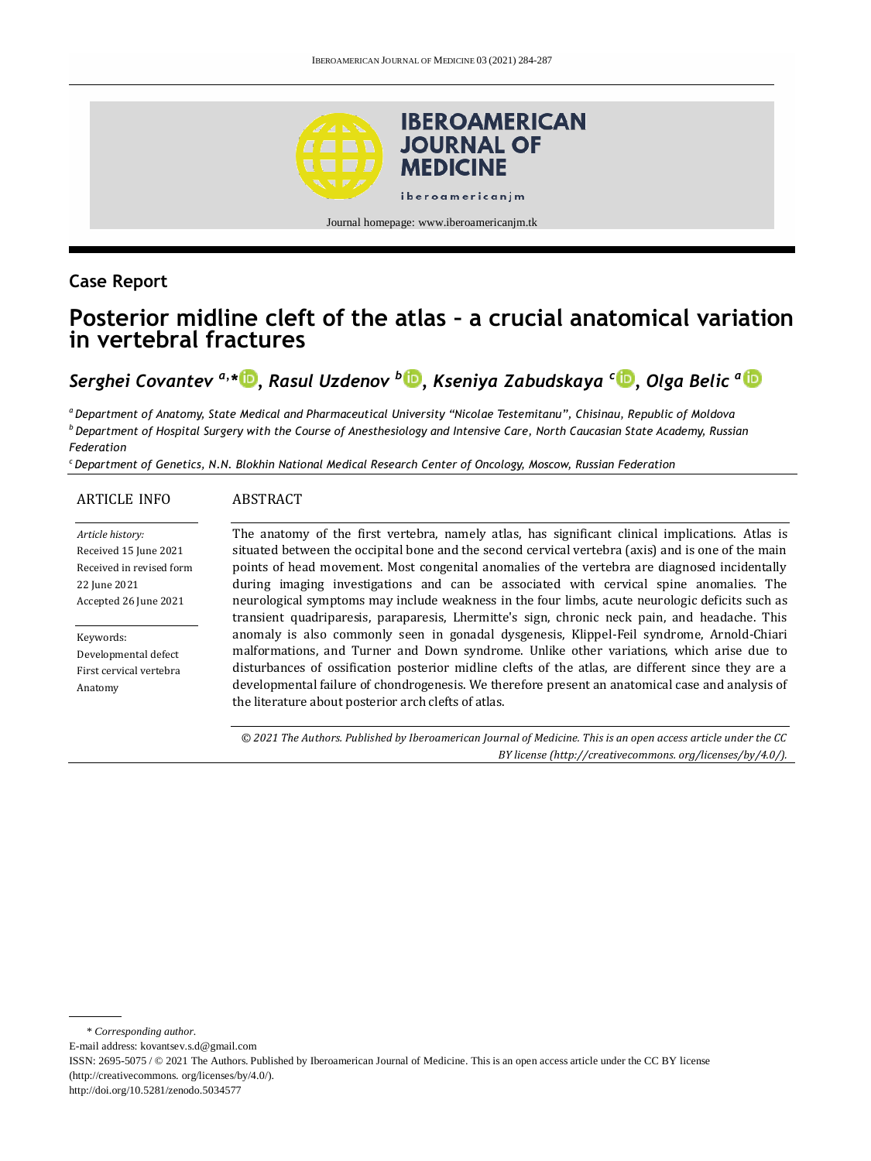

## **Case Report**

# **Posterior midline cleft of the atlas – a crucial anatomical variation in vertebral fractures**

*Serghei Covantev a,\* [,](http://orcid.org/0000-0001-7236-5699) Rasul Uzdenov <sup>b</sup> [,](http://orcid.org/0000-0002-8526-9708) Kseniya Zabudskaya <sup>c</sup> [,](http://orcid.org/0000-0003-1290-574X) Olga Belic <sup>a</sup>*

*<sup>a</sup>Department of Anatomy, State Medical and Pharmaceutical University "Nicolae Testemitanu", Chisinau, Republic of Moldova <sup>b</sup> Department of Hospital Surgery with the Course of Anesthesiology and Intensive Care, North Caucasian State Academy, Russian Federation*

*<sup>c</sup> Department of Genetics, N.N. Blokhin National Medical Research Center of Oncology, Moscow, Russian Federation*

ABSTRACT

#### ARTICLE INFO

#### *Article history:* Received 15 June 2021 Received in revised form 22 June 2021 Accepted 26 June 2021

Keywords: Developmental defect First cervical vertebra Anatomy

The anatomy of the first vertebra, namely atlas, has significant clinical implications. Atlas is situated between the occipital bone and the second cervical vertebra (axis) and is one of the main points of head movement. Most congenital anomalies of the vertebra are diagnosed incidentally during imaging investigations and can be associated with cervical spine anomalies. The neurological symptoms may include weakness in the four limbs, acute neurologic deficits such as transient quadriparesis, paraparesis, Lhermitte's sign, chronic neck pain, and headache. This anomaly is also commonly seen in gonadal dysgenesis, Klippel-Feil syndrome, Arnold-Chiari malformations, and Turner and Down syndrome. Unlike other variations, which arise due to disturbances of ossification posterior midline clefts of the atlas, are different since they are a developmental failure of chondrogenesis. We therefore present an anatomical case and analysis of the literature about posterior arch clefts of atlas.

*© 2021 The Authors. Published by Iberoamerican Journal of Medicine. This is an open access article under the CC BY license (http:/[/creativecommons. org/licenses/by/4.0/\)](https://creativecommons.org/licenses/by/4.0/).*

http://doi.org/10.5281/zenodo.5034577

<sup>\*</sup> *Corresponding author.*

E-mail address: kovantsev.s.d@gmail.com

ISSN: 2695-5075 / © 2021 The Authors. Published by Iberoamerican Journal of Medicine. This is an open access article under the CC BY license (http://creativecommons. org/licenses/by/4.0/).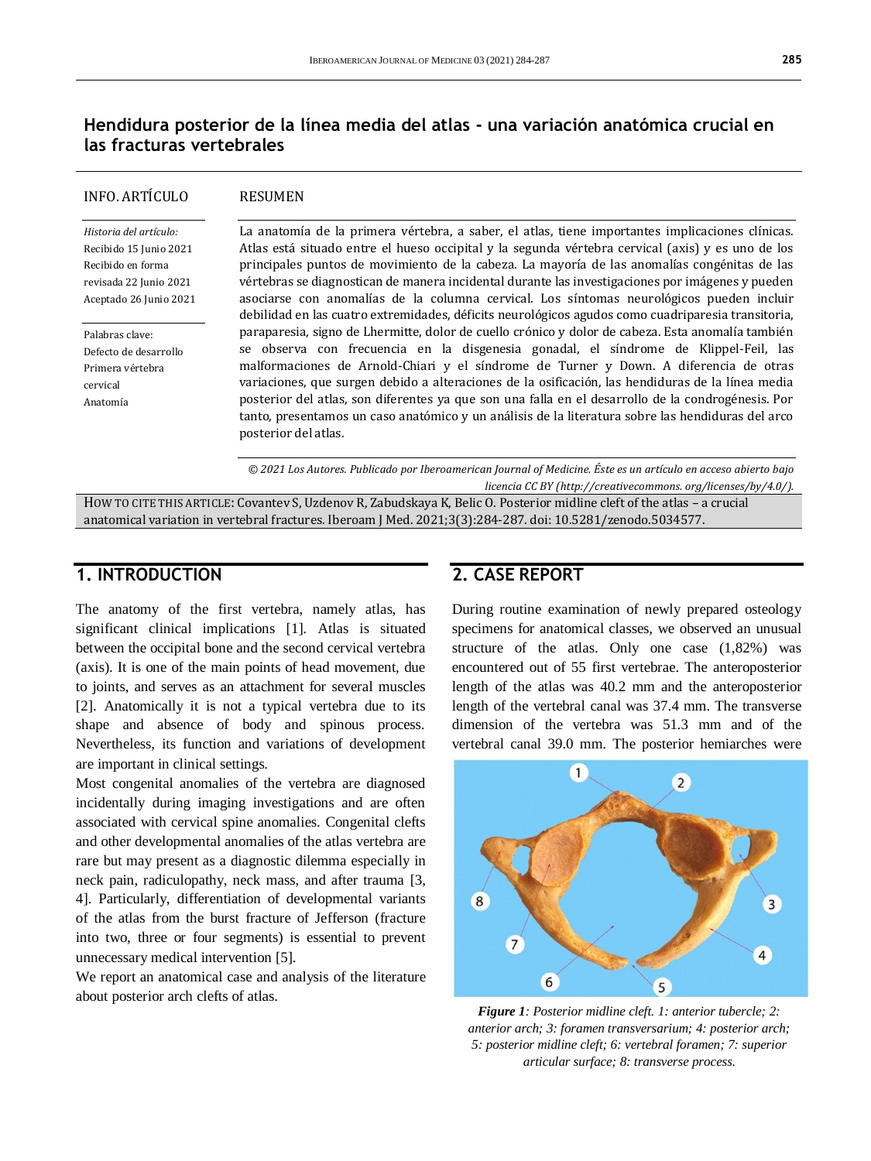## **Hendidura posterior de la línea media del atlas - una variación anatómica crucial en las fracturas vertebrales**

### INFO. ARTÍCULO

#### RESUMEN

*Historia del artículo:*  Recibido 15 Junio 2021 Recibido en forma revisada 22 Junio 2021 Aceptado 26 Junio 2021

Palabras clave: Defecto de desarrollo Primera vértebra cervical Anatomía

La anatomía de la primera vértebra, a saber, el atlas, tiene importantes implicaciones clínicas. Atlas está situado entre el hueso occipital y la segunda vértebra cervical (axis) y es uno de los principales puntos de movimiento de la cabeza. La mayoría de las anomalías congénitas de las vértebras se diagnostican de manera incidental durante las investigaciones por imágenes y pueden asociarse con anomalías de la columna cervical. Los síntomas neurológicos pueden incluir debilidad en las cuatro extremidades, déficits neurológicos agudos como cuadriparesia transitoria, paraparesia, signo de Lhermitte, dolor de cuello crónico y dolor de cabeza. Esta anomalía también se observa con frecuencia en la disgenesia gonadal, el síndrome de Klippel-Feil, las malformaciones de Arnold-Chiari y el síndrome de Turner y Down. A diferencia de otras variaciones, que surgen debido a alteraciones de la osificación, las hendiduras de la línea media posterior del atlas, son diferentes ya que son una falla en el desarrollo de la condrogénesis. Por tanto, presentamos un caso anatómico y un análisis de la literatura sobre las hendiduras del arco posterior del atlas.

*© 2021 Los Autores. Publicado por Iberoamerican Journal of Medicine. Éste es un artículo en acceso abierto bajo licencia CC BY (http:/[/creativecommons. org/licenses/by/4.0/\)](https://creativecommons.org/licenses/by/4.0/).*

HOW TO CITE THIS ARTICLE: Covantev S, Uzdenov R, Zabudskaya K, Belic O. Posterior midline cleft of the atlas – a crucial anatomical variation in vertebral fractures. Iberoam J Med. 2021;3(3):284-287. doi[: 10.5281/zenodo.5034577.](http://doi.org/10.5281/zenodo.5034577)

## **1. INTRODUCTION**

The anatomy of the first vertebra, namely atlas, has significant clinical implications [1]. Atlas is situated between the occipital bone and the second cervical vertebra (axis). It is one of the main points of head movement, due to joints, and serves as an attachment for several muscles [2]. Anatomically it is not a typical vertebra due to its shape and absence of body and spinous process. Nevertheless, its function and variations of development are important in clinical settings.

Most congenital anomalies of the vertebra are diagnosed incidentally during imaging investigations and are often associated with cervical spine anomalies. Congenital clefts and other developmental anomalies of the atlas vertebra are rare but may present as a diagnostic dilemma especially in neck pain, radiculopathy, neck mass, and after trauma [3, 4]. Particularly, differentiation of developmental variants of the atlas from the burst fracture of Jefferson (fracture into two, three or four segments) is essential to prevent unnecessary medical intervention [5].

We report an anatomical case and analysis of the literature about posterior arch clefts of atlas.

### **2. CASE REPORT**

During routine examination of newly prepared osteology specimens for anatomical classes, we observed an unusual structure of the atlas. Only one case (1,82%) was encountered out of 55 first vertebrae. The anteroposterior length of the atlas was 40.2 mm and the anteroposterior length of the vertebral canal was 37.4 mm. The transverse dimension of the vertebra was 51.3 mm and of the vertebral canal 39.0 mm. The posterior hemiarches were



*Figure 1: Posterior midline cleft. 1: anterior tubercle; 2: anterior arch; 3: foramen transversarium; 4: posterior arch; 5: posterior midline cleft; 6: vertebral foramen; 7: superior articular surface; 8: transverse process.*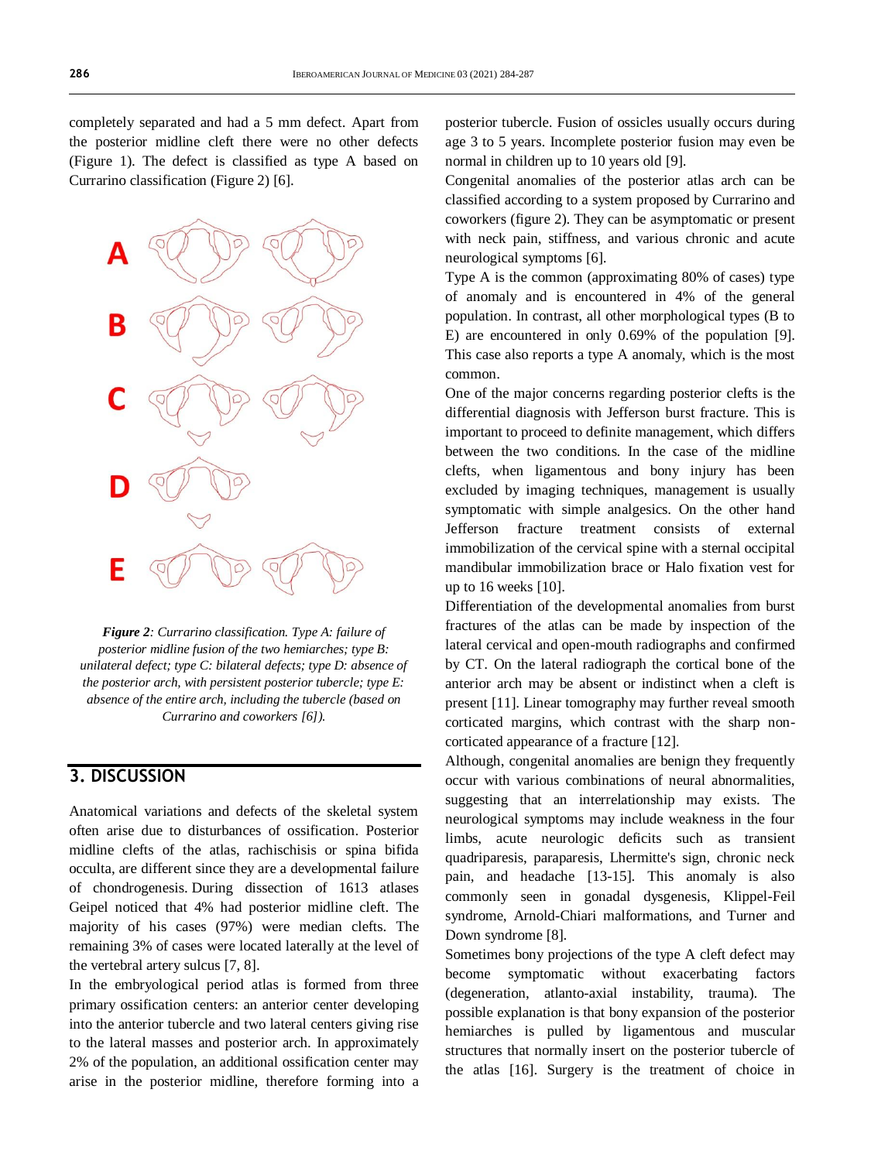completely separated and had a 5 mm defect. Apart from the posterior midline cleft there were no other defects (Figure 1). The defect is classified as type A based on Currarino classification (Figure 2) [6].



*Figure 2: Currarino classification. Type A: failure of posterior midline fusion of the two hemiarches; type B: unilateral defect; type C: bilateral defects; type D: absence of the posterior arch, with persistent posterior tubercle; type E: absence of the entire arch, including the tubercle (based on Currarino and coworkers [6]).*

## **3. DISCUSSION**

Anatomical variations and defects of the skeletal system often arise due to disturbances of ossification. Posterior midline clefts of the atlas, rachischisis or spina bifida occulta, are different since they are a developmental failure of chondrogenesis. During dissection of 1613 atlases Geipel noticed that 4% had posterior midline cleft. The majority of his cases (97%) were median clefts. The remaining 3% of cases were located laterally at the level of the vertebral artery sulcus [7, 8].

In the embryological period atlas is formed from three primary ossification centers: an anterior center developing into the anterior tubercle and two lateral centers giving rise to the lateral masses and posterior arch. In approximately 2% of the population, an additional ossification center may arise in the posterior midline, therefore forming into a

posterior tubercle. Fusion of ossicles usually occurs during age 3 to 5 years. Incomplete posterior fusion may even be normal in children up to 10 years old [9].

Congenital anomalies of the posterior atlas arch can be classified according to a system proposed by Currarino and coworkers (figure 2). They can be asymptomatic or present with neck pain, stiffness, and various chronic and acute neurological symptoms [6].

Type A is the common (approximating 80% of cases) type of anomaly and is encountered in 4% of the general population. In contrast, all other morphological types (B to E) are encountered in only 0.69% of the population [9]. This case also reports a type A anomaly, which is the most common.

One of the major concerns regarding posterior clefts is the differential diagnosis with Jefferson burst fracture. This is important to proceed to definite management, which differs between the two conditions. In the case of the midline clefts, when ligamentous and bony injury has been excluded by imaging techniques, management is usually symptomatic with simple analgesics. On the other hand Jefferson fracture treatment consists of external immobilization of the cervical spine with a sternal occipital mandibular immobilization brace or Halo fixation vest for up to 16 weeks [10].

Differentiation of the developmental anomalies from burst fractures of the atlas can be made by inspection of the lateral cervical and open-mouth radiographs and confirmed by CT. On the lateral radiograph the cortical bone of the anterior arch may be absent or indistinct when a cleft is present [11]. Linear tomography may further reveal smooth corticated margins, which contrast with the sharp noncorticated appearance of a fracture [12].

Although, congenital anomalies are benign they frequently occur with various combinations of neural abnormalities, suggesting that an interrelationship may exists. The neurological symptoms may include weakness in the four limbs, acute neurologic deficits such as transient quadriparesis, paraparesis, Lhermitte's sign, chronic neck pain, and headache [13-15]. This anomaly is also commonly seen in gonadal dysgenesis, Klippel-Feil syndrome, Arnold-Chiari malformations, and Turner and Down syndrome [8].

Sometimes bony projections of the type A cleft defect may become symptomatic without exacerbating factors (degeneration, atlanto-axial instability, trauma). The possible explanation is that bony expansion of the posterior hemiarches is pulled by ligamentous and muscular structures that normally insert on the posterior tubercle of the atlas [16]. Surgery is the treatment of choice in